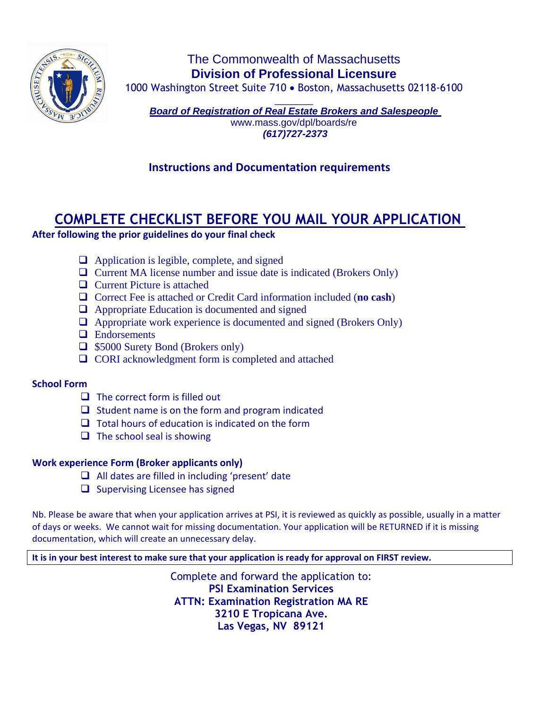

# The Commonwealth of Massachusetts **Division of Professional Licensure**

1000 Washington Street Suite 710 • Boston, Massachusetts 02118-6100

 $\overline{\phantom{a}}$ *Board of Registration of Real Estate Brokers and Salespeople*  www.mass.gov/dpl/boards/re *(617)727-2373*

# **Instructions and Documentation requirements**

# **COMPLETE CHECKLIST BEFORE YOU MAIL YOUR APPLICATION**

## **After following the prior guidelines do your final check**

- ❑ Application is legible, complete, and signed
- ❑ Current MA license number and issue date is indicated (Brokers Only)
- ❑ Current Picture is attached
- ❑ Correct Fee is attached or Credit Card information included (**no cash**)
- ❑ Appropriate Education is documented and signed
- $\Box$  Appropriate work experience is documented and signed (Brokers Only)
- ❑ Endorsements
- ❑ \$5000 Surety Bond (Brokers only)
- ❑ CORI acknowledgment form is completed and attached

# **School Form**

- $\Box$  The correct form is filled out
- ❑ Student name is on the form and program indicated
- ❑ Total hours of education is indicated on the form
- $\Box$  The school seal is showing

# **Work experience Form (Broker applicants only)**

- ❑ All dates are filled in including 'present' date
- ❑ Supervising Licensee has signed

Nb. Please be aware that when your application arrives at PSI, it is reviewed as quickly as possible, usually in a matter of days or weeks. We cannot wait for missing documentation. Your application will be RETURNED if it is missing documentation, which will create an unnecessary delay.

**It is in your best interest to make sure that your application is ready for approval on FIRST review.**

Complete and forward the application to: **PSI Examination Services ATTN: Examination Registration MA RE 3210 E Tropicana Ave. Las Vegas, NV 89121**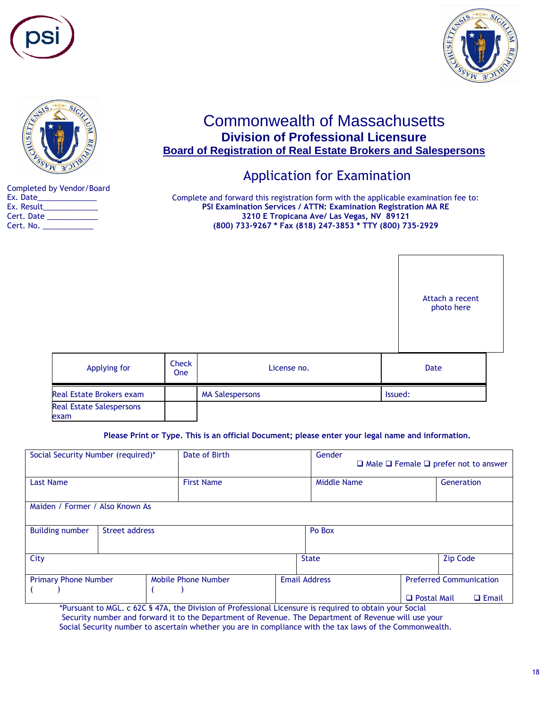





# Commonwealth of Massachusetts **Division of Professional Licensure Board of Registration of Real Estate Brokers and Salespersons**

# Application for Examination

Completed by Vendor/Board Ex. Date Ex. Result\_\_\_\_\_\_\_\_\_\_\_\_\_ Cert. Date \_\_\_\_\_\_\_\_\_\_\_\_ Cert. No. \_\_\_\_\_\_\_\_\_\_\_\_

Complete and forward this registration form with the applicable examination fee to: **PSI Examination Services / ATTN: Examination Registration MA RE 3210 E Tropicana Ave/ Las Vegas, NV 89121 (800) 733-9267 \* Fax (818) 247-3853 \* TTY (800) 735-2929**

|                                         |              |                        | Attach a recent<br>photo here |  |
|-----------------------------------------|--------------|------------------------|-------------------------------|--|
| Applying for                            | Check<br>One | License no.            | Date                          |  |
| <b>Real Estate Brokers exam</b>         |              | <b>MA Salespersons</b> | Issued:                       |  |
| <b>Real Estate Salespersons</b><br>exam |              |                        |                               |  |

**Please Print or Type. This is an official Document; please enter your legal name and information.**

| Date of Birth<br>Social Security Number (required)* |                      | $\Box$ Male $\Box$ Female $\Box$ prefer not to answer |                                                                                                                                                                                                                                                                                                                 |
|-----------------------------------------------------|----------------------|-------------------------------------------------------|-----------------------------------------------------------------------------------------------------------------------------------------------------------------------------------------------------------------------------------------------------------------------------------------------------------------|
| <b>First Name</b>                                   |                      | Generation                                            |                                                                                                                                                                                                                                                                                                                 |
| Maiden / Former / Also Known As                     |                      |                                                       |                                                                                                                                                                                                                                                                                                                 |
| Street address                                      | Po Box               |                                                       |                                                                                                                                                                                                                                                                                                                 |
|                                                     | <b>State</b>         | <b>Zip Code</b>                                       |                                                                                                                                                                                                                                                                                                                 |
| Mobile Phone Number                                 | <b>Email Address</b> | <b>Preferred Communication</b><br>$\Box$ Email        |                                                                                                                                                                                                                                                                                                                 |
|                                                     |                      | Gender                                                | <b>Middle Name</b><br>□ Postal Mail<br>$\mathcal{L}(\mathcal{O}, \mathcal{O})$ and the set of the set of the set of the set of the set of the set of the set of the set of the set of the set of the set of the set of the set of the set of the set of the set of the set of the set o<br>$\sim$ $\sim$ $\sim$ |

\*Pursuant to MGL. c 62C § 47A, the Division of Professional Licensure is required to obtain your Social Security number and forward it to the Department of Revenue. The Department of Revenue will use your Social Security number to ascertain whether you are in compliance with the tax laws of the Commonwealth.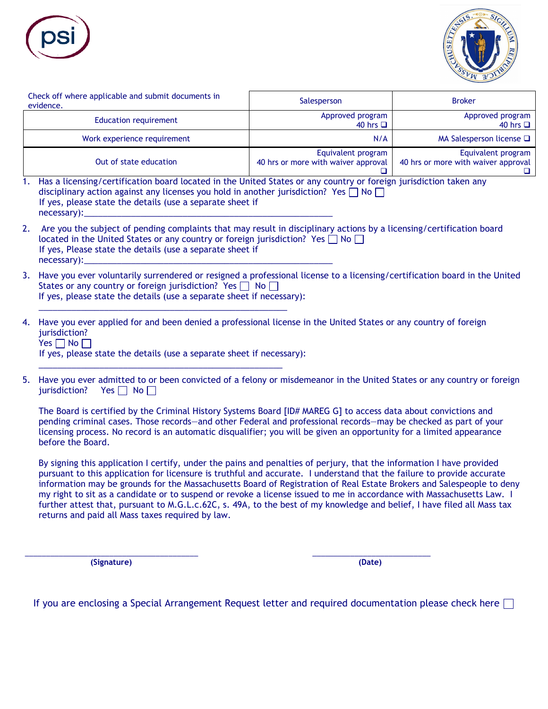



| Check off where applicable and submit documents in<br>evidence. | Salesperson                                               | <b>Broker</b>                                             |
|-----------------------------------------------------------------|-----------------------------------------------------------|-----------------------------------------------------------|
| <b>Education requirement</b>                                    | Approved program<br>40 hrs <b>□</b>                       | Approved program<br>40 hrs $\Box$                         |
| Work experience requirement                                     | N/A                                                       | MA Salesperson license $\square$                          |
| Out of state education                                          | Equivalent program<br>40 hrs or more with waiver approval | Equivalent program<br>40 hrs or more with waiver approval |

- 1. Has a licensing/certification board located in the United States or any country or foreign jurisdiction taken any disciplinary action against any licenses you hold in another jurisdiction? Yes  $\Box$  No  $\Box$ If yes, please state the details (use a separate sheet if necessary):
- 2. Are you the subject of pending complaints that may result in disciplinary actions by a licensing/certification board located in the United States or any country or foreign jurisdiction? Yes  $\Box$  No  $\Box$ If yes, Please state the details (use a separate sheet if necessary):
- 3. Have you ever voluntarily surrendered or resigned a professional license to a licensing/certification board in the United States or any country or foreign jurisdiction? Yes  $\Box$  No  $\Box$ If yes, please state the details (use a separate sheet if necessary):
- 4. Have you ever applied for and been denied a professional license in the United States or any country of foreign jurisdiction? Yes  $\Box$  No  $\Box$

If yes, please state the details (use a separate sheet if necessary):

\_\_\_\_\_\_\_\_\_\_\_\_\_\_\_\_\_\_\_\_\_\_\_\_\_\_\_\_\_\_\_\_\_\_\_\_\_\_\_\_\_\_\_\_\_\_\_\_\_\_\_\_\_

\_\_\_\_\_\_\_\_\_\_\_\_\_\_\_\_\_\_\_\_\_\_\_\_\_\_\_\_\_\_\_\_\_\_\_\_\_\_\_\_\_\_\_\_\_\_\_\_\_\_\_\_

5. Have you ever admitted to or been convicted of a felony or misdemeanor in the United States or any country or foreign jurisdiction? Yes  $\Box$  No  $\Box$ 

The Board is certified by the Criminal History Systems Board [ID# MAREG G] to access data about convictions and pending criminal cases. Those records—and other Federal and professional records—may be checked as part of your licensing process. No record is an automatic disqualifier; you will be given an opportunity for a limited appearance before the Board.

By signing this application I certify, under the pains and penalties of perjury, that the information I have provided pursuant to this application for licensure is truthful and accurate. I understand that the failure to provide accurate information may be grounds for the Massachusetts Board of Registration of Real Estate Brokers and Salespeople to deny my right to sit as a candidate or to suspend or revoke a license issued to me in accordance with Massachusetts Law. I further attest that, pursuant to M.G.L.c.62C, s. 49A, to the best of my knowledge and belief, I have filed all Mass tax returns and paid all Mass taxes required by law.

 **(Signature) (Date)**

If you are enclosing a Special Arrangement Request letter and required documentation please check here  $\Box$ 

\_\_\_\_\_\_\_\_\_\_\_\_\_\_\_\_\_\_\_\_\_\_\_\_\_\_\_\_\_\_\_\_\_\_\_\_\_\_\_\_\_ \_\_\_\_\_\_\_\_\_\_\_\_\_\_\_\_\_\_\_\_\_\_\_\_\_\_\_\_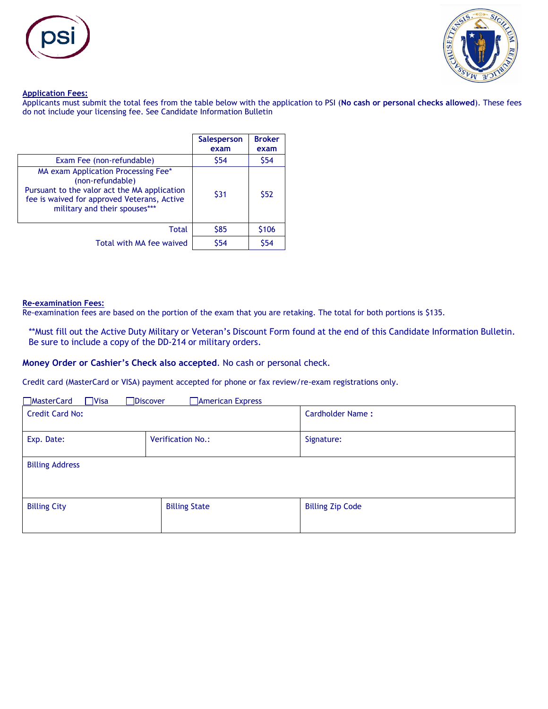



### **Application Fees:**

Applicants must submit the total fees from the table below with the application to PSI (**No cash or personal checks allowed**). These fees do not include your licensing fee. See Candidate Information Bulletin

|                                                                                                                                                                                         | <b>Salesperson</b><br>exam | <b>Broker</b><br>exam |
|-----------------------------------------------------------------------------------------------------------------------------------------------------------------------------------------|----------------------------|-----------------------|
| Exam Fee (non-refundable)                                                                                                                                                               | \$54                       | \$54                  |
| MA exam Application Processing Fee*<br>(non-refundable)<br>Pursuant to the valor act the MA application<br>fee is waived for approved Veterans, Active<br>military and their spouses*** | \$31                       | \$52                  |
| Total                                                                                                                                                                                   | <b>S85</b>                 | \$106                 |
| Total with MA fee waived                                                                                                                                                                | \$54                       | \$54                  |

### **Re-examination Fees:**

Re-examination fees are based on the portion of the exam that you are retaking. The total for both portions is \$135.

\*\*Must fill out the Active Duty Military or Veteran's Discount Form found at the end of this Candidate Information Bulletin. Be sure to include a copy of the DD-214 or military orders.

### **Money Order or Cashier's Check also accepted**. No cash or personal check.

Credit card (MasterCard or VISA) payment accepted for phone or fax review/re-exam registrations only.

| <b>MasterCard</b><br>$\neg$ Visa<br><b>Discover</b> | American Express         |                         |
|-----------------------------------------------------|--------------------------|-------------------------|
| <b>Credit Card No:</b>                              |                          | Cardholder Name:        |
| Exp. Date:                                          | <b>Verification No.:</b> | Signature:              |
| <b>Billing Address</b>                              |                          |                         |
| <b>Billing City</b>                                 | <b>Billing State</b>     | <b>Billing Zip Code</b> |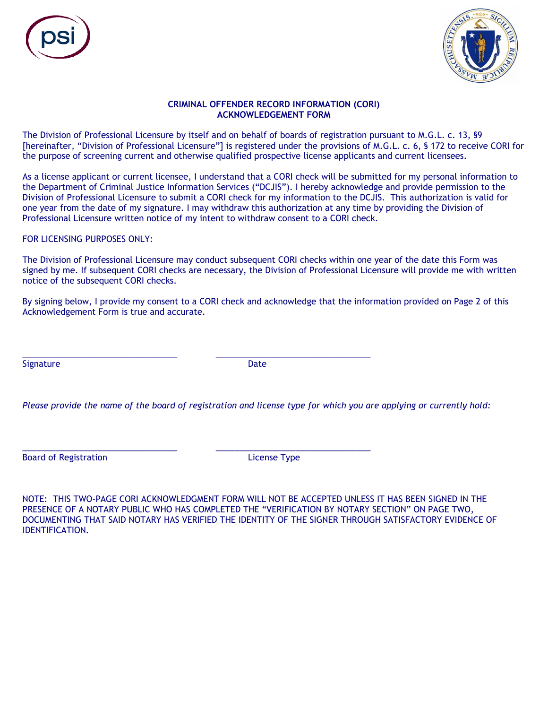



### **CRIMINAL OFFENDER RECORD INFORMATION (CORI) ACKNOWLEDGEMENT FORM**

The Division of Professional Licensure by itself and on behalf of boards of registration pursuant to M.G.L. c. 13, §9 [hereinafter, "Division of Professional Licensure"] is registered under the provisions of M.G.L. c. 6, § 172 to receive CORI for the purpose of screening current and otherwise qualified prospective license applicants and current licensees.

As a license applicant or current licensee, I understand that a CORI check will be submitted for my personal information to the Department of Criminal Justice Information Services ("DCJIS"). I hereby acknowledge and provide permission to the Division of Professional Licensure to submit a CORI check for my information to the DCJIS. This authorization is valid for one year from the date of my signature. I may withdraw this authorization at any time by providing the Division of Professional Licensure written notice of my intent to withdraw consent to a CORI check.

## FOR LICENSING PURPOSES ONLY:

The Division of Professional Licensure may conduct subsequent CORI checks within one year of the date this Form was signed by me. If subsequent CORI checks are necessary, the Division of Professional Licensure will provide me with written notice of the subsequent CORI checks.

By signing below, I provide my consent to a CORI check and acknowledge that the information provided on Page 2 of this Acknowledgement Form is true and accurate.

Signature Date Date Date Date Date

\_\_\_\_\_\_\_\_\_\_\_\_\_\_\_\_\_\_\_\_\_\_\_\_\_\_\_\_\_\_\_\_\_ \_\_\_\_\_\_\_\_\_\_\_\_\_\_\_\_\_\_\_\_\_\_\_\_\_\_\_\_\_\_\_\_\_

\_\_\_\_\_\_\_\_\_\_\_\_\_\_\_\_\_\_\_\_\_\_\_\_\_\_\_\_\_\_\_\_\_ \_\_\_\_\_\_\_\_\_\_\_\_\_\_\_\_\_\_\_\_\_\_\_\_\_\_\_\_\_\_\_\_\_

*Please provide the name of the board of registration and license type for which you are applying or currently hold:*

Board of Registration **License Type** 

NOTE: THIS TWO-PAGE CORI ACKNOWLEDGMENT FORM WILL NOT BE ACCEPTED UNLESS IT HAS BEEN SIGNED IN THE PRESENCE OF A NOTARY PUBLIC WHO HAS COMPLETED THE "VERIFICATION BY NOTARY SECTION" ON PAGE TWO, DOCUMENTING THAT SAID NOTARY HAS VERIFIED THE IDENTITY OF THE SIGNER THROUGH SATISFACTORY EVIDENCE OF IDENTIFICATION.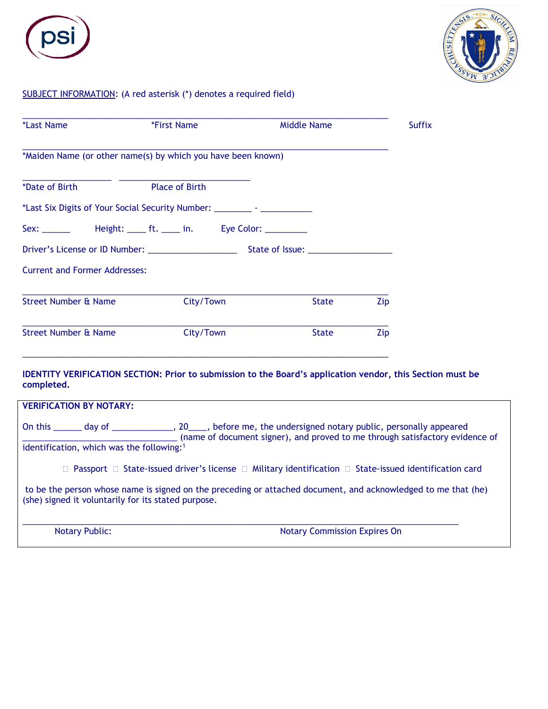



## SUBJECT INFORMATION: (A red asterisk (\*) denotes a required field)

| *First Name                          | <b>Middle Name</b> | <b>Suffix</b>                                                                                                                                                                                                                                                                                                                |
|--------------------------------------|--------------------|------------------------------------------------------------------------------------------------------------------------------------------------------------------------------------------------------------------------------------------------------------------------------------------------------------------------------|
|                                      |                    |                                                                                                                                                                                                                                                                                                                              |
| <b>Place of Birth</b>                |                    |                                                                                                                                                                                                                                                                                                                              |
|                                      |                    |                                                                                                                                                                                                                                                                                                                              |
|                                      |                    |                                                                                                                                                                                                                                                                                                                              |
|                                      |                    |                                                                                                                                                                                                                                                                                                                              |
| <b>Current and Former Addresses:</b> |                    |                                                                                                                                                                                                                                                                                                                              |
| City/Town                            | State              | Zip                                                                                                                                                                                                                                                                                                                          |
| City/Town                            | <b>State</b>       | Zip                                                                                                                                                                                                                                                                                                                          |
|                                      |                    | *Maiden Name (or other name(s) by which you have been known)<br>*Last Six Digits of Your Social Security Number: __________ - __________________<br>Sex: __________  Height: ______ ft. ______ in.   Eye Color: ____________<br>Driver's License or ID Number: _____________________<br>State of Issue: ____________________ |

## **IDENTITY VERIFICATION SECTION: Prior to submission to the Board's application vendor, this Section must be completed.**

| <b>VERIFICATION BY NOTARY:</b>                                                                                                                                       |                                                                                                                                                                                                  |
|----------------------------------------------------------------------------------------------------------------------------------------------------------------------|--------------------------------------------------------------------------------------------------------------------------------------------------------------------------------------------------|
| identification, which was the following: <sup>1</sup>                                                                                                                | On this _______ day of _________________, 20_____, before me, the undersigned notary public, personally appeared<br>(name of document signer), and proved to me through satisfactory evidence of |
|                                                                                                                                                                      | $\Box$ Passport $\Box$ State-issued driver's license $\Box$ Military identification $\Box$ State-issued identification card                                                                      |
| to be the person whose name is signed on the preceding or attached document, and acknowledged to me that (he)<br>(she) signed it voluntarily for its stated purpose. |                                                                                                                                                                                                  |
| <b>Notary Public:</b>                                                                                                                                                | <b>Notary Commission Expires On</b>                                                                                                                                                              |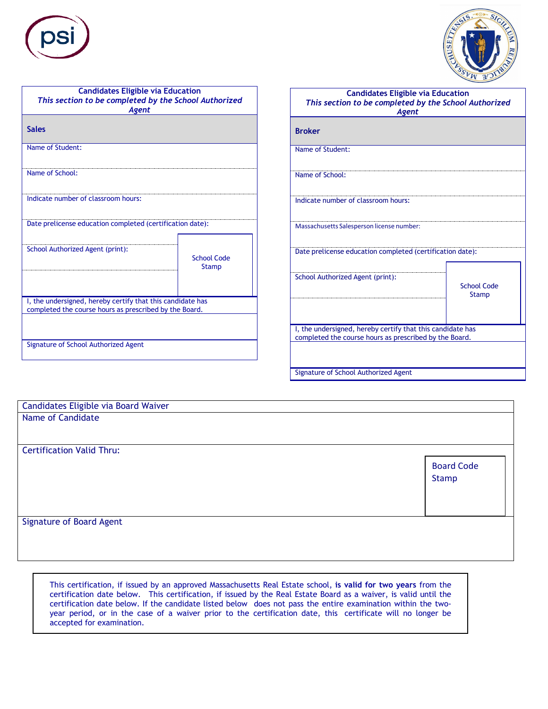



| <b>Candidates Eligible via Education</b><br>This section to be completed by the School Authorized<br><b>Agent</b>    |                                    |
|----------------------------------------------------------------------------------------------------------------------|------------------------------------|
| <b>Sales</b>                                                                                                         |                                    |
| Name of Student:                                                                                                     |                                    |
| Name of School:                                                                                                      |                                    |
| Indicate number of classroom hours:                                                                                  |                                    |
| Date prelicense education completed (certification date):                                                            |                                    |
| School Authorized Agent (print):                                                                                     | <b>School Code</b><br><b>Stamp</b> |
| I, the undersigned, hereby certify that this candidate has<br>completed the course hours as prescribed by the Board. |                                    |
| Signature of School Authorized Agent                                                                                 |                                    |

| <b>Candidates Eligible via Education</b><br>This section to be completed by the School Authorized<br><b>Agent</b>    |                                    |
|----------------------------------------------------------------------------------------------------------------------|------------------------------------|
| <b>Broker</b>                                                                                                        |                                    |
| Name of Student:                                                                                                     |                                    |
| Name of School:                                                                                                      |                                    |
| Indicate number of classroom hours:                                                                                  |                                    |
| Massachusetts Salesperson license number:                                                                            |                                    |
| Date prelicense education completed (certification date):                                                            |                                    |
| School Authorized Agent (print):                                                                                     | <b>School Code</b><br><b>Stamp</b> |
| I, the undersigned, hereby certify that this candidate has<br>completed the course hours as prescribed by the Board. |                                    |
| Signature of School Authorized Agent                                                                                 |                                    |

| Candidates Eligible via Board Waiver |                   |
|--------------------------------------|-------------------|
| Name of Candidate                    |                   |
|                                      |                   |
|                                      |                   |
| <b>Certification Valid Thru:</b>     |                   |
|                                      | <b>Board Code</b> |
|                                      | Stamp             |
|                                      |                   |
|                                      |                   |
|                                      |                   |
| <b>Signature of Board Agent</b>      |                   |
|                                      |                   |
|                                      |                   |

This certification, if issued by an approved Massachusetts Real Estate school, **is valid for two years** from the certification date below. This certification, if issued by the Real Estate Board as a waiver, is valid until the certification date below. If the candidate listed below does not pass the entire examination within the twoyear period, or in the case of a waiver prior to the certification date, this certificate will no longer be accepted for examination.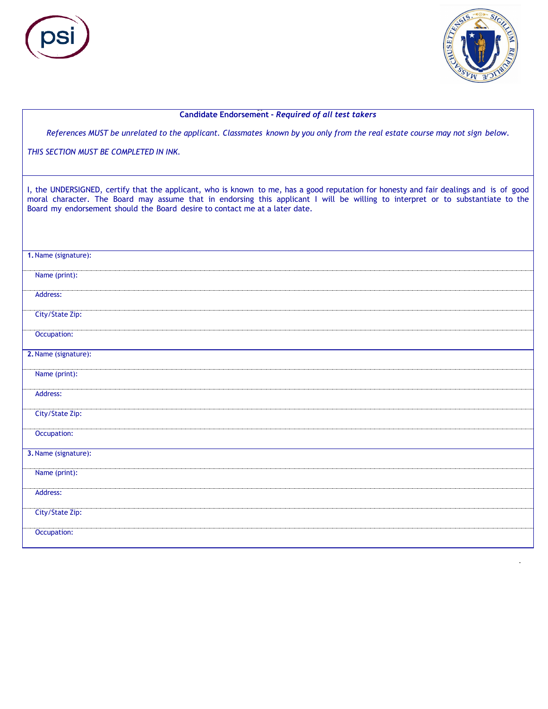



#### **Candidate Endorsement -** *Required of all test takers*

References MUST be unrelated to the applicant. Classmates known by you only from the real estate course may not sign below.

*THIS SECTION MUST BE COMPLETED IN INK.*

I, the UNDERSIGNED, certify that the applicant, who is known to me, has a good reputation for honesty and fair dealings and is of good moral character. The Board may assume that in endorsing this applicant I will be willing to interpret or to substantiate to the Board my endorsement should the Board desire to contact me at a later date.

| 1. Name (signature): |
|----------------------|
| Name (print):        |
| Address:             |
| City/State Zip:      |
| Occupation:          |
| 2. Name (signature): |
| Name (print):        |
| Address:             |
| City/State Zip:      |
| Occupation:          |
| 3. Name (signature): |
| Name (print):        |
| Address:             |
| City/State Zip:      |
| Occupation:          |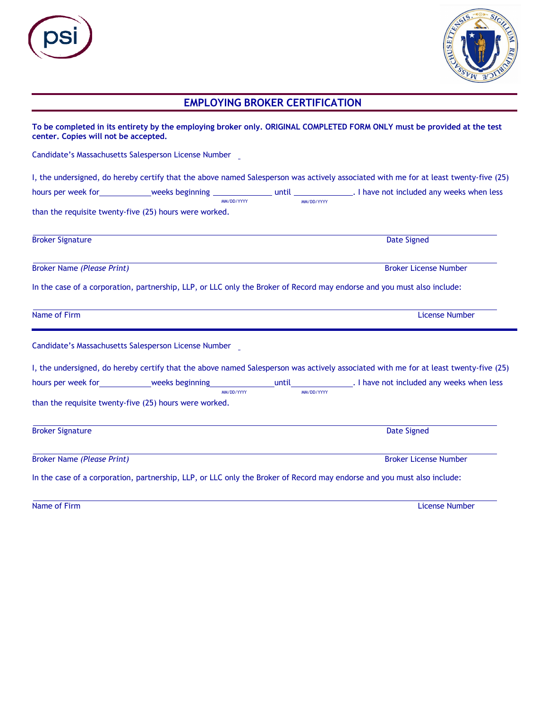| S<br><b>Service Service</b> |
|-----------------------------|
|                             |



# **EMPLOYING BROKER CERTIFICATION**

| center. Copies will not be accepted. |                                                        |            | To be completed in its entirety by the employing broker only. ORIGINAL COMPLETED FORM ONLY must be provided at the test              |
|--------------------------------------|--------------------------------------------------------|------------|--------------------------------------------------------------------------------------------------------------------------------------|
|                                      | Candidate's Massachusetts Salesperson License Number   |            |                                                                                                                                      |
|                                      |                                                        |            | I, the undersigned, do hereby certify that the above named Salesperson was actively associated with me for at least twenty-five (25) |
|                                      | MM/DD/YYYY                                             | MM/DD/YYYY |                                                                                                                                      |
|                                      | than the requisite twenty-five (25) hours were worked. |            |                                                                                                                                      |
| <b>Broker Signature</b>              |                                                        |            | <b>Date Signed</b>                                                                                                                   |
| <b>Broker Name (Please Print)</b>    |                                                        |            | <b>Broker License Number</b>                                                                                                         |
|                                      |                                                        |            | In the case of a corporation, partnership, LLP, or LLC only the Broker of Record may endorse and you must also include:              |
| Name of Firm                         |                                                        |            | <b>License Number</b>                                                                                                                |
|                                      | Candidate's Massachusetts Salesperson License Number   |            |                                                                                                                                      |
|                                      |                                                        |            | I, the undersigned, do hereby certify that the above named Salesperson was actively associated with me for at least twenty-five (25) |
|                                      | MM/DD/YYYY                                             | MM/DD/YYYY |                                                                                                                                      |
|                                      | than the requisite twenty-five (25) hours were worked. |            |                                                                                                                                      |
| <b>Broker Signature</b>              |                                                        |            | <b>Date Signed</b>                                                                                                                   |
| <b>Broker Name (Please Print)</b>    |                                                        |            | <b>Broker License Number</b>                                                                                                         |
|                                      |                                                        |            | In the case of a corporation, partnership, LLP, or LLC only the Broker of Record may endorse and you must also include:              |

Name of Firm License Number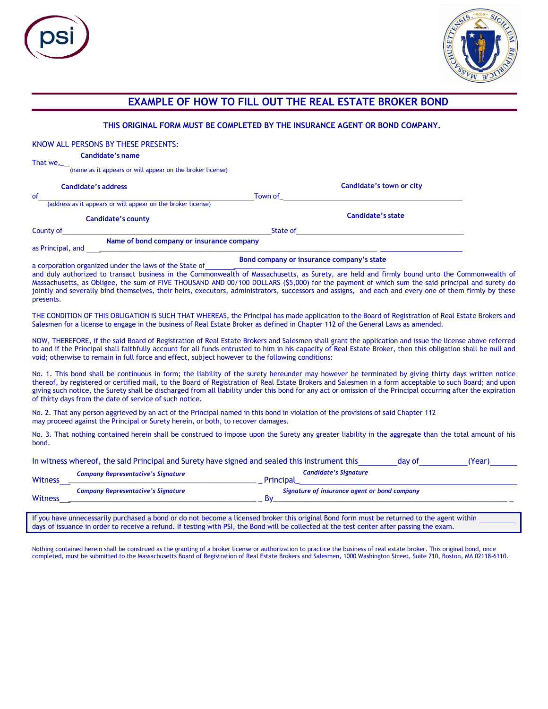

ſ



|                            | THIS ORIGINAL FORM MUST BE COMPLETED BY THE INSURANCE AGENT OR BOND COMPANY.                                                                                                                                                                                                                                                                                                                                                                                                                                                              |                   |                              |                          |  |
|----------------------------|-------------------------------------------------------------------------------------------------------------------------------------------------------------------------------------------------------------------------------------------------------------------------------------------------------------------------------------------------------------------------------------------------------------------------------------------------------------------------------------------------------------------------------------------|-------------------|------------------------------|--------------------------|--|
|                            | KNOW ALL PERSONS BY THESE PRESENTS:                                                                                                                                                                                                                                                                                                                                                                                                                                                                                                       |                   |                              |                          |  |
|                            | <b>Candidate's name</b>                                                                                                                                                                                                                                                                                                                                                                                                                                                                                                                   |                   |                              |                          |  |
| That $we$ ,                | (name as it appears or will appear on the broker license)                                                                                                                                                                                                                                                                                                                                                                                                                                                                                 |                   |                              |                          |  |
| <b>Candidate's address</b> |                                                                                                                                                                                                                                                                                                                                                                                                                                                                                                                                           |                   |                              | Candidate's town or city |  |
| of                         |                                                                                                                                                                                                                                                                                                                                                                                                                                                                                                                                           |                   |                              |                          |  |
|                            |                                                                                                                                                                                                                                                                                                                                                                                                                                                                                                                                           |                   |                              |                          |  |
|                            | <b>Candidate's county</b>                                                                                                                                                                                                                                                                                                                                                                                                                                                                                                                 | Candidate's state |                              |                          |  |
|                            | County of <u>State of State of</u> State of <u>State of</u> State of State of State of State of State of <i>State of Bond company or insurance company</i>                                                                                                                                                                                                                                                                                                                                                                                |                   |                              |                          |  |
| as Principal, and ____     |                                                                                                                                                                                                                                                                                                                                                                                                                                                                                                                                           |                   |                              |                          |  |
|                            | a corporation organized under the laws of the State of <b>Bond company or insurance company's state</b><br>and duly authorized to trace it is a state of <b>Example 2014</b>                                                                                                                                                                                                                                                                                                                                                              |                   |                              |                          |  |
| presents.                  | and duly authorized to transact business in the Commonwealth of Massachusetts, as Surety, are held and firmly bound unto the Commonwealth of<br>Massachusetts, as Obligee, the sum of FIVE THOUSAND AND 00/100 DOLLARS (\$5,000) for the payment of which sum the said principal and surety do<br>jointly and severally bind themselves, their heirs, executors, administrators, successors and assigns, and each and every one of them firmly by these                                                                                   |                   |                              |                          |  |
|                            | THE CONDITION OF THIS OBLIGATION IS SUCH THAT WHEREAS, the Principal has made application to the Board of Registration of Real Estate Brokers and<br>Salesmen for a license to engage in the business of Real Estate Broker as defined in Chapter 112 of the General Laws as amended.                                                                                                                                                                                                                                                     |                   |                              |                          |  |
|                            | NOW, THEREFORE, if the said Board of Registration of Real Estate Brokers and Salesmen shall grant the application and issue the license above referred<br>to and if the Principal shall faithfully account for all funds entrusted to him in his capacity of Real Estate Broker, then this obligation shall be null and<br>void; otherwise to remain in full force and effect, subject however to the following conditions:                                                                                                               |                   |                              |                          |  |
|                            | No. 1. This bond shall be continuous in form; the liability of the surety hereunder may however be terminated by giving thirty days written notice<br>thereof, by registered or certified mail, to the Board of Registration of Real Estate Brokers and Salesmen in a form acceptable to such Board; and upon<br>giving such notice, the Surety shall be discharged from all liability under this bond for any act or omission of the Principal occurring after the expiration<br>of thirty days from the date of service of such notice. |                   |                              |                          |  |
|                            | No. 2. That any person aggrieved by an act of the Principal named in this bond in violation of the provisions of said Chapter 112<br>may proceed against the Principal or Surety herein, or both, to recover damages.                                                                                                                                                                                                                                                                                                                     |                   |                              |                          |  |
| bond.                      | No. 3. That nothing contained herein shall be construed to impose upon the Surety any greater liability in the aggregate than the total amount of his                                                                                                                                                                                                                                                                                                                                                                                     |                   |                              |                          |  |
|                            | In witness whereof, the said Principal and Surety have signed and sealed this instrument this day of (Year) (Year)                                                                                                                                                                                                                                                                                                                                                                                                                        |                   |                              |                          |  |
|                            | <b>Company Representative's Signature</b>                                                                                                                                                                                                                                                                                                                                                                                                                                                                                                 |                   | <b>Candidate's Signature</b> |                          |  |
| Witness_                   |                                                                                                                                                                                                                                                                                                                                                                                                                                                                                                                                           |                   |                              |                          |  |
| Witness                    | Company Representative's Signature<br>Signature of insurance agent or bond company<br>By                                                                                                                                                                                                                                                                                                                                                                                                                                                  |                   |                              |                          |  |
|                            | If you have unnecessarily purchased a bond or do not become a licensed broker this original Bond form must be returned to the agent within<br>days of issuance in order to receive a refund. If testing with PSI, the Bond will be collected at the test center after passing the exam.                                                                                                                                                                                                                                                   |                   |                              |                          |  |
|                            | Nothing contained herein shall be construed as the granting of a broker license or authorization to practice the business of real estate broker. This original bond, once<br>completed, must be submitted to the Massachusetts Board of Registration of Real Estate Brokers and Salesmen, 1000 Washington Street, Suite 710, Boston, MA 02118-6110.                                                                                                                                                                                       |                   |                              |                          |  |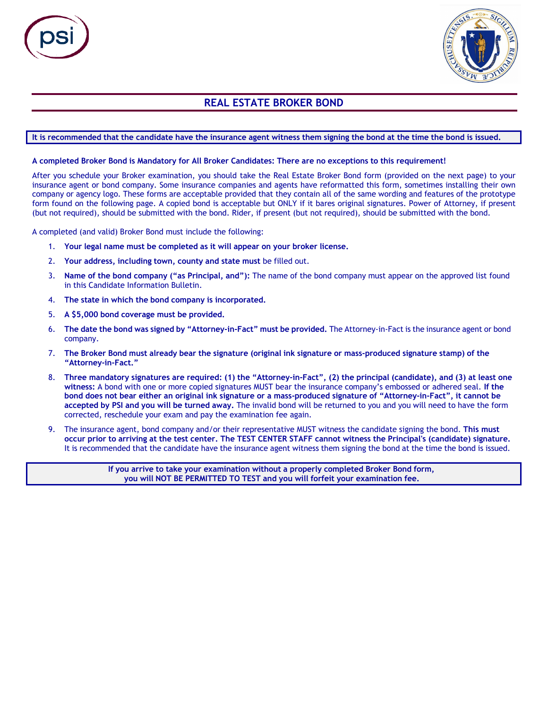

# **REAL ESTATE BROKER BOND**

## It is recommended that the candidate have the insurance agent witness them signing the bond at the time the bond is issued.

#### A completed Broker Bond is Mandatory for All Broker Candidates: There are no exceptions to this requirement!

After you schedule your Broker examination, you should take the Real Estate Broker Bond form (provided on the next page) to your insurance agent or bond company. Some insurance companies and agents have reformatted this form, sometimes installing their own company or agency logo. These forms are acceptable provided that they contain all of the same wording and features of the prototype form found on the following page. A copied bond is acceptable but ONLY if it bares original signatures. Power of Attorney, if present (but not required), should be submitted with the bond. Rider, if present (but not required), should be submitted with the bond.

A completed (and valid) Broker Bond must include the following:

- 1. **Your legal name must be completed as it will appear on your broker license.**
- 2. **Your address, including town, county and state must** be filled out.
- 3. **Name of the bond company ("as Principal, and"):** The name of the bond company must appear on the approved list found in this Candidate Information Bulletin.
- 4. **The state in which the bond company is incorporated.**
- 5. **A \$5,000 bond coverage must be provided.**
- 6. **The date the bond was signed by "Attorney-in-Fact" must be provided.** The Attorney-in-Fact is the insurance agent or bond company.
- 7. The Broker Bond must already bear the signature (original ink signature or mass-produced signature stamp) of the **"Attorney-in-Fact."**
- 8. Three mandatory signatures are required: (1) the "Attorney-in-Fact", (2) the principal (candidate), and (3) at least one **witness:** A bond with one or more copied signatures MUST bear the insurance company's embossed or adhered seal. **If the** bond does not bear either an original ink signature or a mass-produced signature of "Attorney-in-Fact", it cannot be **accepted by PSI and you will be turned away.** The invalid bond will be returned to you and you will need to have the form corrected, reschedule your exam and pay the examination fee again.
- 9. The insurance agent, bond company and/or their representative MUST witness the candidate signing the bond. **This must** occur prior to arriving at the test center. The TEST CENTER STAFF cannot witness the Principal's (candidate) signature. It is recommended that the candidate have the insurance agent witness them signing the bond at the time the bond is issued.

**If you arrive to take your examination without a properly completed Broker Bond form, you will NOT BE PERMITTED TO TEST and you will forfeit your examination fee.**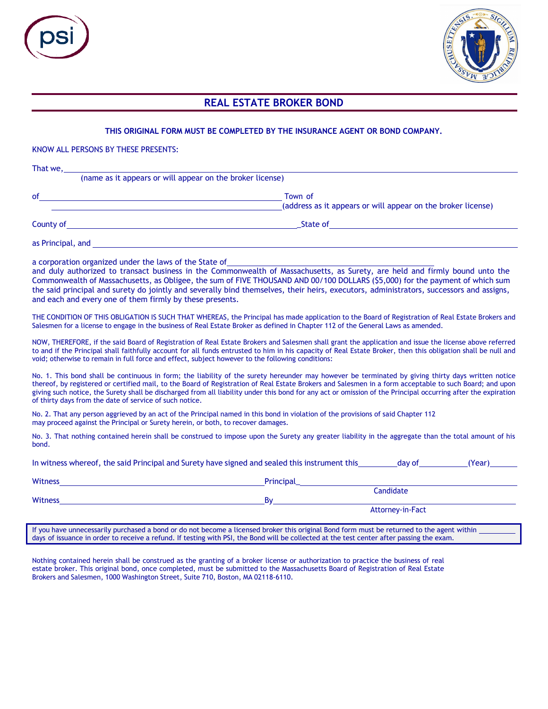

## **REAL ESTATE BROKER BOND**

### **THIS ORIGINAL FORM MUST BE COMPLETED BY THE INSURANCE AGENT OR BOND COMPANY.**

KNOW ALL PERSONS BY THESE PRESENTS:

| That we,  | (name as it appears or will appear on the broker license)               |
|-----------|-------------------------------------------------------------------------|
| of        | Town of<br>(address as it appears or will appear on the broker license) |
| County of | State of                                                                |

as Principal, and

a corporation organized under the laws of the State of

and duly authorized to transact business in the Commonwealth of Massachusetts, as Surety, are held and firmly bound unto the Commonwealth of Massachusetts, as Obligee, the sum of FIVE THOUSAND AND 00/100 DOLLARS (\$5,000) for the payment of which sum the said principal and surety do jointly and severally bind themselves, their heirs, executors, administrators, successors and assigns, and each and every one of them firmly by these presents.

THE CONDITION OF THIS OBLIGATION IS SUCH THAT WHEREAS, the Principal has made application to the Board of Registration of Real Estate Brokers and Salesmen for a license to engage in the business of Real Estate Broker as defined in Chapter 112 of the General Laws as amended.

NOW, THEREFORE, if the said Board of Registration of Real Estate Brokers and Salesmen shall grant the application and issue the license above referred to and if the Principal shall faithfully account for all funds entrusted to him in his capacity of Real Estate Broker, then this obligation shall be null and void; otherwise to remain in full force and effect, subject however to the following conditions:

No. 1. This bond shall be continuous in form; the liability of the surety hereunder may however be terminated by giving thirty days written notice thereof, by registered or certified mail, to the Board of Registration of Real Estate Brokers and Salesmen in a form acceptable to such Board; and upon giving such notice, the Surety shall be discharged from all liability under this bond for any act or omission of the Principal occurring after the expiration of thirty days from the date of service of such notice.

No. 2. That any person aggrieved by an act of the Principal named in this bond in violation of the provisions of said Chapter 112 may proceed against the Principal or Surety herein, or both, to recover damages.

No. 3. That nothing contained herein shall be construed to impose upon the Surety any greater liability in the aggregate than the total amount of his bond.

| The Witness Wilefeldt, the said Frinklipat and burety have signed and seated this instrument this<br>uay ur<br>l I cal J |           |                  |  |  |  |
|--------------------------------------------------------------------------------------------------------------------------|-----------|------------------|--|--|--|
| Witness                                                                                                                  | Principal |                  |  |  |  |
|                                                                                                                          |           | Candidate        |  |  |  |
| Witness                                                                                                                  | Βv        |                  |  |  |  |
|                                                                                                                          |           | Attorney-in-Fact |  |  |  |

If you have unnecessarily purchased a bond or do not become a licensed broker this original Bond form must be returned to the agent within days of issuance in order to receive a refund. If testing with PSI, the Bond will be collected at the test center after passing the exam.

In witness whereof, the said Principal and Surety have signed and sealed this instrument this day of (Year)

Nothing contained herein shall be construed as the granting of a broker license or authorization to practice the business of real estate broker. This original bond, once completed, must be submitted to the Massachusetts Board of Registration of Real Estate Brokers and Salesmen, 1000 Washington Street, Suite 710, Boston, MA 02118-6110.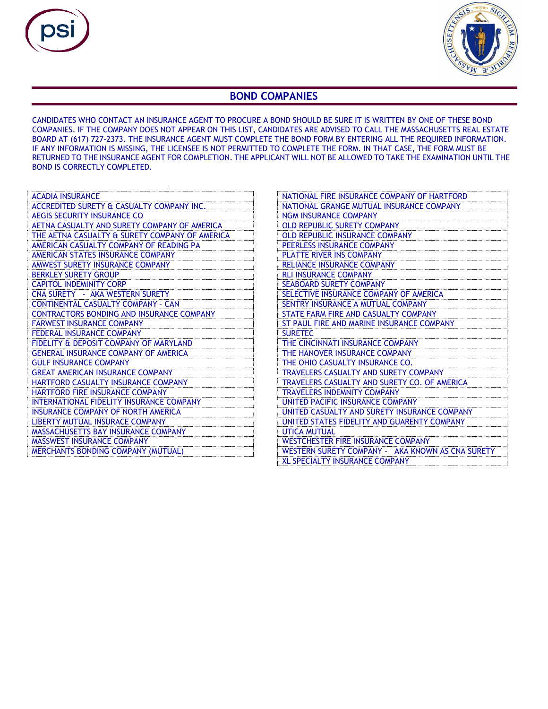



## **BOND COMPANIES**

CANDIDATES WHO CONTACT AN INSURANCE AGENT TO PROCURE A BOND SHOULD BE SURE IT IS WRITTEN BY ONE OF THESE BOND COMPANIES. IF THE COMPANY DOES NOT APPEAR ON THIS LIST, CANDIDATES ARE ADVISED TO CALL THE MASSACHUSETTS REAL ESTATE BOARD AT (617) 727-2373. THE INSURANCE AGENT MUST COMPLETE THE BOND FORM BY ENTERING ALL THE REQUIRED INFORMATION. IF ANY INFORMATION IS MISSING, THE LICENSEE IS NOT PERMITTED TO COMPLETE THE FORM. IN THAT CASE, THE FORM MUST BE RETURNED TO THE INSURANCE AGENT FOR COMPLETION. THE APPLICANT WILL NOT BE ALLOWED TO TAKE THE EXAMINATION UNTIL THE BOND IS CORRECTLY COMPLETED.

| <b>ACADIA INSURANCE</b>                          |
|--------------------------------------------------|
| ACCREDITED SURETY & CASUALTY COMPANY INC.        |
| AEGIS SECURITY INSURANCE CO                      |
| AETNA CASUALTY AND SURETY COMPANY OF AMERICA     |
| THE AETNA CASUALTY & SURETY COMPANY OF AMERICA   |
| AMERICAN CASUALTY COMPANY OF READING PA          |
| AMERICAN STATES INSURANCE COMPANY                |
| AMWEST SURETY INSURANCE COMPANY                  |
| <b>BERKLEY SURETY GROUP</b>                      |
| <b>CAPITOL INDEMINITY CORP</b>                   |
| CNA SURETY - AKA WESTERN SURETY                  |
| CONTINENTAL CASUALTY COMPANY - CAN               |
| <b>CONTRACTORS BONDING AND INSURANCE COMPANY</b> |
| <b>FARWEST INSURANCE COMPANY</b>                 |
| <b>FEDERAL INSURANCE COMPANY</b>                 |
| FIDELITY & DEPOSIT COMPANY OF MARYLAND           |
| <b>GENERAL INSURANCE COMPANY OF AMERICA</b>      |
| <b>GULF INSURANCE COMPANY</b>                    |
| <b>GREAT AMERICAN INSURANCE COMPANY</b>          |
| <b>HARTFORD CASUALTY INSURANCE COMPANY</b>       |
| <b>HARTFORD FIRE INSURANCE COMPANY</b>           |
| INTERNATIONAL FIDELITY INSURANCE COMPANY         |
| INSURANCE COMPANY OF NORTH AMERICA               |
| LIBERTY MUTUAL INSURACE COMPANY                  |
| <b>MASSACHUSETTS BAY INSURANCE COMPANY</b>       |
| <b>MASSWEST INSURANCE COMPANY</b>                |
| <b>MERCHANTS BONDING COMPANY (MUTUAL)</b>        |

 $\mathcal{L}$ 

| NATIONAL FIRE INSURANCE COMPANY OF HARTFORD      |
|--------------------------------------------------|
| NATIONAL GRANGE MUTUAL INSURANCE COMPANY         |
| <b>NGM INSURANCE COMPANY</b>                     |
| <b>OLD REPUBLIC SURETY COMPANY</b>               |
| <b>OLD REPUBLIC INSURANCE COMPANY</b>            |
| PEERLESS INSURANCE COMPANY                       |
| <b>PLATTE RIVER INS COMPANY</b>                  |
| <b>RELIANCE INSURANCE COMPANY</b>                |
| <b>RLI INSURANCE COMPANY</b>                     |
| <b>SEABOARD SURETY COMPANY</b>                   |
| SELECTIVE INSURANCE COMPANY OF AMERICA           |
| SENTRY INSURANCE A MUTUAL COMPANY                |
| STATE FARM FIRE AND CASUALTY COMPANY             |
| ST PAUL FIRE AND MARINE INSURANCE COMPANY        |
| <b>SURETEC</b>                                   |
| THE CINCINNATI INSURANCE COMPANY                 |
| THE HANOVER INSURANCE COMPANY                    |
| THE OHIO CASUALTY INSURANCE CO.                  |
| <b>TRAVELERS CASUALTY AND SURETY COMPANY</b>     |
| TRAVELERS CASUALTY AND SURETY CO. OF AMERICA     |
| <b>TRAVELERS INDEMNITY COMPANY</b>               |
| UNITED PACIFIC INSURANCE COMPANY                 |
| UNITED CASUALTY AND SURETY INSURANCE COMPANY     |
| UNITED STATES FIDELITY AND GUARENTY COMPANY      |
| <b>UTICA MUTUAL</b>                              |
| <b>WESTCHESTER FIRE INSURANCE COMPANY</b>        |
| WESTERN SURETY COMPANY - AKA KNOWN AS CNA SURETY |
| <b>XL SPECIALTY INSURANCE COMPANY</b>            |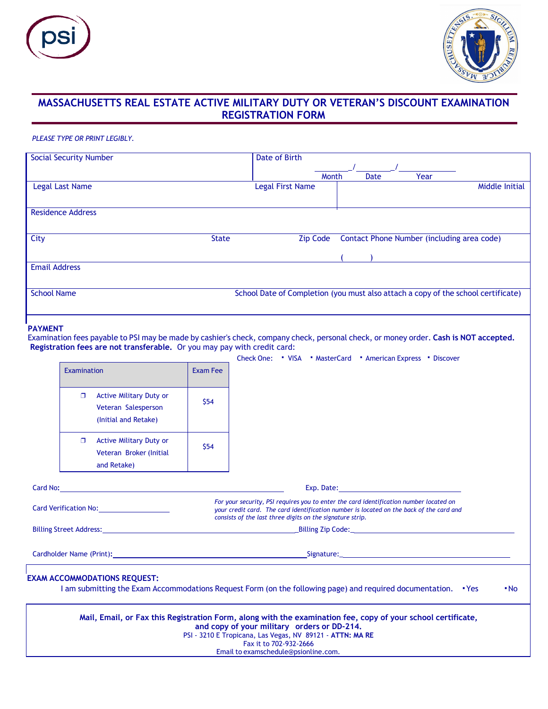



# **MASSACHUSETTS REAL ESTATE ACTIVE MILITARY DUTY OR VETERAN'S DISCOUNT EXAMINATION REGISTRATION FORM**

#### *PLEASE TYPE OR PRINT LEGIBLY.*

| <b>Social Security Number</b> | Date of Birth                                                                     |       |      |                                            |                |
|-------------------------------|-----------------------------------------------------------------------------------|-------|------|--------------------------------------------|----------------|
|                               |                                                                                   |       |      |                                            |                |
|                               |                                                                                   | Month | Date | Year                                       |                |
| Legal Last Name               | Legal First Name                                                                  |       |      |                                            | Middle Initial |
|                               |                                                                                   |       |      |                                            |                |
| <b>Residence Address</b>      |                                                                                   |       |      |                                            |                |
|                               |                                                                                   |       |      |                                            |                |
| City<br><b>State</b>          | <b>Zip Code</b>                                                                   |       |      | Contact Phone Number (including area code) |                |
|                               |                                                                                   |       |      |                                            |                |
| <b>Email Address</b>          |                                                                                   |       |      |                                            |                |
|                               |                                                                                   |       |      |                                            |                |
| <b>School Name</b>            | School Date of Completion (you must also attach a copy of the school certificate) |       |      |                                            |                |
|                               |                                                                                   |       |      |                                            |                |
|                               |                                                                                   |       |      |                                            |                |

### **PAYMENT**

Examination fees payable to PSI may be made by cashier's check, company check, personal check, or money order. **Cash is NOT accepted. Registration fees are not transferable.** Or you may pay with credit card:

|                                                                                                                                                                                                                                     |                 | Check One: "VISA "MasterCard " American Express " Discover                                                                                                                                                                                                                                 |
|-------------------------------------------------------------------------------------------------------------------------------------------------------------------------------------------------------------------------------------|-----------------|--------------------------------------------------------------------------------------------------------------------------------------------------------------------------------------------------------------------------------------------------------------------------------------------|
| Examination                                                                                                                                                                                                                         | <b>Exam Fee</b> |                                                                                                                                                                                                                                                                                            |
| <b>Active Military Duty or</b><br>п.<br>Veteran Salesperson<br>(Initial and Retake)                                                                                                                                                 | \$54            |                                                                                                                                                                                                                                                                                            |
| <b>Active Military Duty or</b><br>O.<br>Veteran Broker (Initial<br>and Retake)                                                                                                                                                      | \$54            |                                                                                                                                                                                                                                                                                            |
| Card No: <b>Example 2018</b> 2019 2019 2019 2020 2021 2022 2023 2024 2022 2023 2024 2022 2023 2024 2022 2023 2024 2022 2023 2024 2022 2023 2024 2022 2023 2024 2022 2023 2024 2022 2023 2024 2023 2024 2023 2024 2023 2024 2023 202 |                 | Exp. Date: Note: No. 1996. The Contract of the Contract of the Contract of the Contract of the Contract of the                                                                                                                                                                             |
|                                                                                                                                                                                                                                     |                 | For your security, PSI requires you to enter the card identification number located on<br>your credit card. The card identification number is located on the back of the card and<br>consists of the last three digits on the signature strip.                                             |
|                                                                                                                                                                                                                                     |                 |                                                                                                                                                                                                                                                                                            |
|                                                                                                                                                                                                                                     |                 | Cardholder Name (Print): Cardholder Name (Print): Cardholder Name (Print): Cardholder Name (Print): Cardholder Name (Print): Cardholder Name (Print): Cardholder Name (Print): Cardholder Name (Print): Cardholder Name (Print                                                             |
| <b>EXAM ACCOMMODATIONS REQUEST:</b>                                                                                                                                                                                                 |                 | I am submitting the Exam Accommodations Request Form (on the following page) and required documentation. "Yes<br>"No                                                                                                                                                                       |
|                                                                                                                                                                                                                                     |                 | Mail, Email, or Fax this Registration Form, along with the examination fee, copy of your school certificate,<br>and copy of your military orders or DD-214.<br>PSI - 3210 E Tropicana, Las Vegas, NV 89121 - ATTN: MA RE<br>Fax it to 702-932-2666<br>Email to examschedule@psionline.com. |